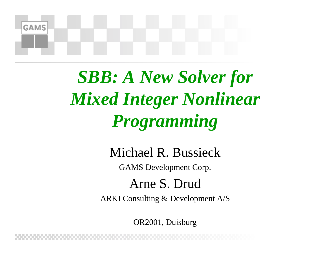

*SBB: A New Solver for Mixed Integer Nonlinear Programming*

Michael R. Bussieck

GAMS Development Corp.

Arne S. Drud

ARKI Consulting & Development A/S

OR2001, Duisburg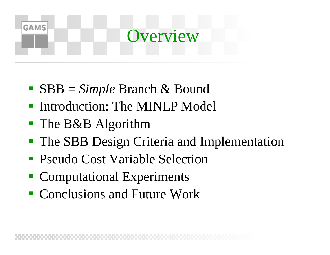# **GAMS Overview**

- ! SBB = *Simple* Branch & Bound
- **Introduction: The MINLP Model**
- **The B&B Algorithm**
- **The SBB Design Criteria and Implementation**
- Pseudo Cost Variable Selection
- **Computational Experiments**
- Conclusions and Future Work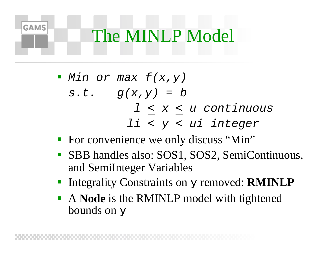#### The MINLP Model

**GAMS** 

 $\blacksquare$  Min or max  $f(x,y)$  $s.t.$   $g(x,y) = b$ l < x < u continuous li <sup>&</sup>lt; y < ui integer

- **For convenience we only discuss "Min"**
- SBB handles also: SOS1, SOS2, SemiContinuous, and SemiInteger Variables
- **EXTERNALLER Integrality Constraints on y removed: RMINLP**
- ! A **Node** is the RMINLP model with tightened bounds on y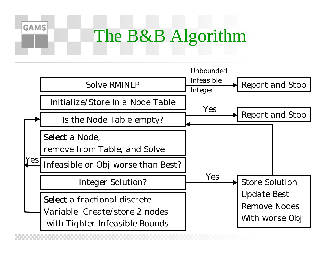#### The B&B Algorithm

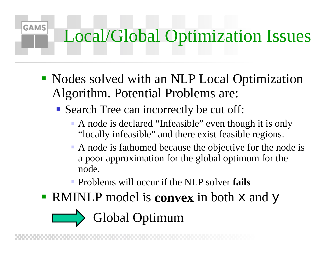## Local/Global Optimization Issues

- ! Nodes solved with an NLP Local Optimization Algorithm. Potential Problems are:
	- ! Search Tree can incorrectly be cut off:

**GAMS** 

- A node is declared "Infeasible" even though it is only "locally infeasible" and there exist feasible regions.
- A node is fathomed because the objective for the node is a poor approximation for the global optimum for the node.
- ! Problems will occur if the NLP solver **fails**
- **RMINLP** model is **convex** in both x and y

Global Optimum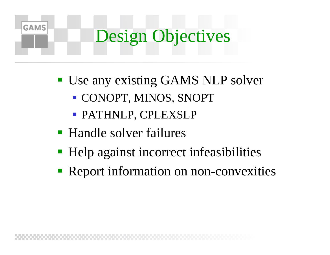### **GAMS** Design Objectives

- **Use any existing GAMS NLP solver** 
	- ! CONOPT, MINOS, SNOPT
	- ! PATHNLP, CPLEXSLP
- ! Handle solver failures
- ! Help against incorrect infeasibilities
- **Report information on non-convexities**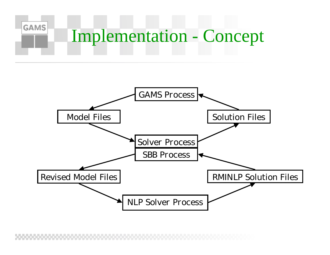

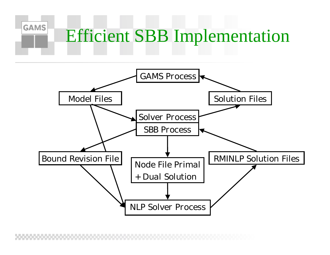#### Efficient SBB Implementation

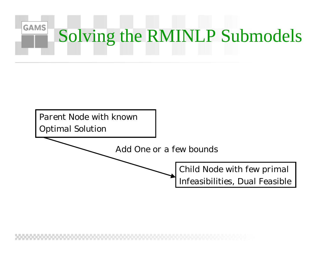

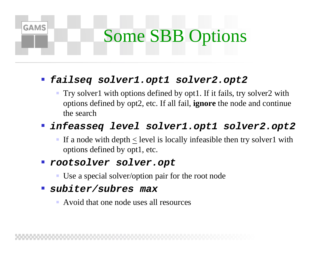## Some SBB Options

#### !**failseq solver1.opt1 solver2.opt2**

 Try solver1 with options defined by opt1. If it fails, try solver2 with options defined by opt2, etc. If all fail, **ignore** the node and continue the search

#### **infeasseq level solver1.opt1 solver2.opt2**

If a node with depth  $\leq$  level is locally infeasible then try solver l with options defined by opt1, etc.

#### ! **rootsolver solver.opt**

- Use a special solver/option pair for the root node
- ! **subiter/subres max**

**GAMS** 

Avoid that one node uses all resources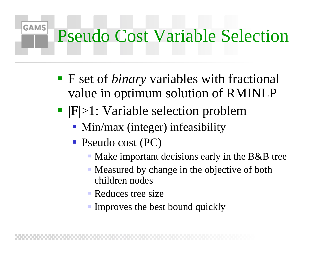#### Pseudo Cost Variable Selection

- ! F set of *binary* variables with fractional value in optimum solution of RMINLP
- $\blacksquare$  |F|>1: Variable selection problem
	- **Min/max (integer) infeasibility**
	- **P**seudo cost (PC)

- ! Make important decisions early in the B&B tree
- ! Measured by change in the objective of both children nodes
- **Reduces tree size**
- **Improves the best bound quickly**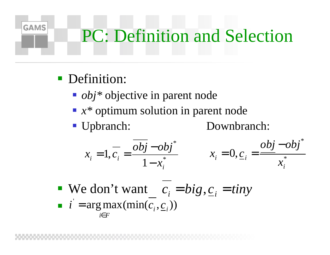# PC: Definition and Selection

**Definition:** 

**GAMS** 

- *obj*<sup>\*</sup> objective in parent node
- *x*<sup>\*</sup> optimum solution in parent node
- ! Upbranch: Downbranch:

$$
x_i = 1, \overline{c_i} = \frac{\overline{obj} - obj^*}{1 - x_i^*}
$$
  $x_i = 0, \underline{c_i} = \frac{obj - obj^*}{x_i^*}$ 

**•** We don't want  $c_i = bi g, \underline{c}_i = tiny$ *i* =  $\arg \max(\min(c_i, \underline{c}_i))$ *i∈ F*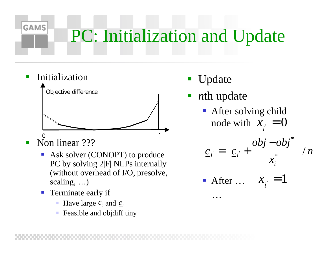## PC: Initialization and Update

- Initialization 01Objective difference
- Non linear ???

**GAMS** 

- ! Ask solver (CONOPT) to produce PC by solving 2|F| NLPs internally (without overhead of I/O, presolve, scaling, …)
- ! Terminate early if
	- !• Have large  $c_i$  and  $c_i$
	- Feasible and objdiff tiny
- Update
- *<sup>n</sup>*th update

…

**•** After solving child node with  $x_{\cdot} = 0$  $x_i =$ 

$$
\underline{c}_{i} = \left(\underline{c}_{i} + \frac{\underline{obj} - obj^{*}}{x_{i}^{*}}\right) / n
$$
  
• After ...  $x_{i} = 1$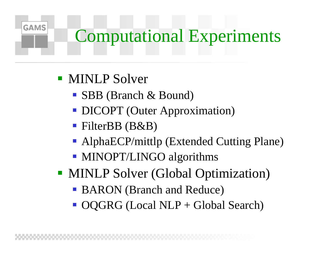#### Computational Experiments

**I** MINLP Solver

- ! SBB (Branch & Bound)
- **DICOPT (Outer Approximation)**
- FilterBB (B&B)
- **AlphaECP/mittlp (Extended Cutting Plane)**
- **MINOPT/LINGO algorithms**
- **MINLP Solver (Global Optimization)** 
	- **BARON** (Branch and Reduce)
	- OQGRG (Local NLP + Global Search)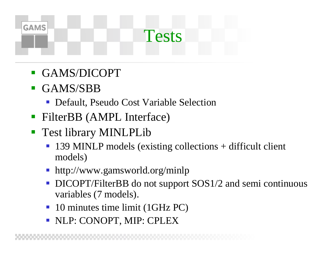# **GAMS** Tests

- GAMS/DICOPT
- **.**  GAMS/SBB
	- **Default, Pseudo Cost Variable Selection**
- ! FilterBB (AMPL Interface)
- Test library MINLPLib
	- ! 139 MINLP models (existing collections + difficult client models)
	- **I** http://www.gamsworld.org/minlp
	- ! DICOPT/FilterBB do not support SOS1/2 and semi continuous variables (7 models).
	- !10 minutes time limit (1GHz PC)
	- ! NLP: CONOPT, MIP: CPLEX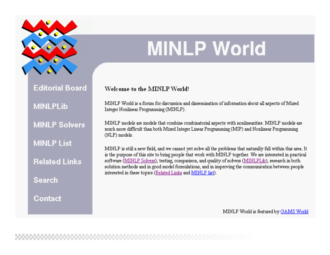

**Editorial Board** 

**MINLPLib** 

**MINLP Solvers** 

**MINLP List** 

**Related Links** 

**Search** 

Contact

### **MINLP World**

#### **Welcome to the MINLP World!**

MINLP World is a forum for discussion and dissemination of information about all aspects of Mixed Integer Nonlinear Programming (MINLP).

MINLP models are models that combine combinatorial aspects with nonlinearities. MINLP models are much more difficult than both Mixed Integer Linear Programming (MIP) and Nonlinear Programming (NLP) models.

MINLP is still a new field, and we cannot yet solve all the problems that naturally fall within this area. It is the purpose of this site to bring people that work with MINLP together. We are interested in practical software (MINLP Solvers), testing, comparison, and quality of solvers (MINLPLib), research in both solution methods and in good model formulations, and in improving the communication between people interested in these topics (Related Links and MINLP list).

MINLP World is featured by GAMS World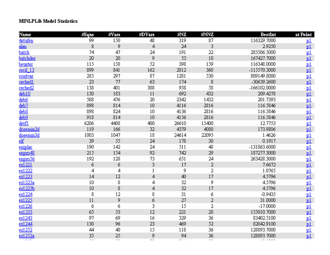#### **MINLPLib Model Statistics**

| Name               | #Eqns                    | #Vars | #DVars | #NZ   | #NNZ  | <b>BestInt</b> | at Point        |
|--------------------|--------------------------|-------|--------|-------|-------|----------------|-----------------|
| 4stufen            | 99                       | 150   | 48     | 319   | 87    | 116329.7000    | <u>p1</u>       |
| alan               | 8                        | 9     | 4      | 24    | 3     | 2.9250         | p1              |
| batch              | 74                       | 47    | 24     | 191   | 22    | 285506.5000    | <u>p1</u>       |
| batchdes           | 20                       | 20    | 9      | 53    | 10    | 167427.7000    | p1              |
| beuster            | 115                      | 158   | 52     | 398   | 159   | 116348.0000    | <u>p1</u>       |
| cecil 13           | 899                      | 841   | 162    | 2812  | 360   | -115570.3000   | p1              |
| contvar            | 285                      | 297   | 87     | 1281  | 530   | 809149.8000    |                 |
| csched1            | 23                       | 77    | 63     | 174   | 8     | -30639.2600    | $\frac{p1}{p1}$ |
| csched2            | 138                      | 401   | 308    | 958   | 58    | -166102.0000   |                 |
| deb10              | 130                      | 183   | 11     | 692   | 432   | 209.4278       |                 |
| deb6               | 508                      | 476   | 20     | 2342  | 1432  | 201.7393       |                 |
| $d$ eb $7$         | 898                      | 814   | 10     | 4116  | 2816  | 116.5846       | 밀밀              |
| deb <sub>8</sub>   | 898                      | 824   | 10     | 4136  | 2816  | 116.5846       | $\mathbf{p}$    |
| deb <sub>9</sub>   | 918                      | 814   | 10     | 4156  | 2816  | 116.5846       | p1              |
| detfl              | 6206                     | 4408  | 400    | 26610 | 15400 | 12.7753        | p1              |
| dosemin2d          | 119                      | 166   | 32     | 4379  | 4080  | 173.9806       | p1              |
| dosemin3d          | 1003                     | 1047  | 18     | 24614 | 22095 | 1.4626         |                 |
| $eff$              | 39                       | 55    | 24     | 178   | 30    | 0.1917         | $\frac{p1}{p1}$ |
| eniplac            | 190                      | 142   | 24     | 511   | 48    | -131863.6000   |                 |
| enpro48            | 215                      | 154   | 92     | 742   | 29    | 187277.3000    |                 |
| enpro56            | 192                      | 128   | 73     | 651   | 24    | 263428.3000    |                 |
| ex1221             | 6                        | 6     | 3      | 17    | 2     | 7.6672         | 巴坦              |
| ex1222             | 4                        | 4     | 1      | 9     | 2     | 1.0765         | <u>p1</u>       |
| ex1223             | 14                       | 12    | 4      | 40    | 17    | 4.5796         | p1              |
| ex1223a            | 10                       | 8     | 4      | 32    | 9     | 4.5796         | $\mathbf{p}$    |
| ex1223b            | 10                       | 8     | 4      | 32    | 17    | 4.5796         | p1              |
| ex1224             | 8                        | 12    | 8      | 31    | 6     | -0.9435        | $\frac{p1}{p1}$ |
| ex1225             | 11                       | 9     | 6      | 27    | 2     | 31.0000        |                 |
| ex1226             | 6                        | 6     | 3      | 15    | 2     | $-17.0000$     |                 |
| ex1233             | 65                       | 53    | 12     | 221   | 28    | 155010.7000    |                 |
| ex1243             | 97                       | 69    | 16     | 329   | 36    | 83402.5100     | 四四四             |
| ex1244             | 130                      | 96    | 23     | 469   | 52    | 82042.9100     |                 |
| ex1252             | 44                       | 40    | 15     | 118   | 36    | 128893.7000    | p1              |
| ex1252a            | 35                       | 25    | 9      | 94    | 36    | 128893.7000    | $\frac{p1}{p}$  |
| $\sim$ $ \sim$ $-$ | $\overline{\phantom{a}}$ | $-$   | --     | $ -$  | $- -$ |                |                 |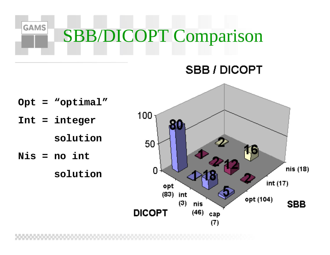

#### **SBB / DICOPT**

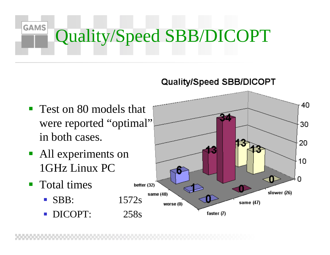#### **GAMS** Quality/Speed SBB/DICOPT

#### Quality/Speed SBB/DICOPT

- ! Test on 80 models that were reported "optimal" in both cases.
- All experiments on 1GHz Linux PC
- **T**otal times
	- SBB: 1572s
	- DICOPT: 258s

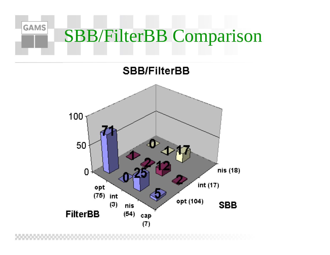#### **GAMS** SBB/FilterBB Comparison

**SBB/FilterBB** 

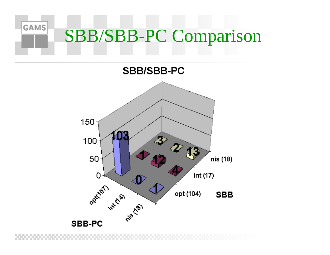#### **GAMS** SBB/SBB-PC Comparison

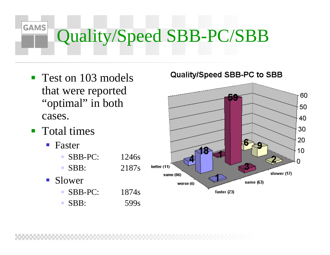# Quality/Speed SBB-PC/SBB

- **Test on 103 models** that were reported "optimal" in both cases.
- **T**otal times

- Faster
	- !SBB-PC: 1246s
	- !SBB: 2187s
- **.**  Slower
	- SBB-PC: 1874s
		- SBB: 599s

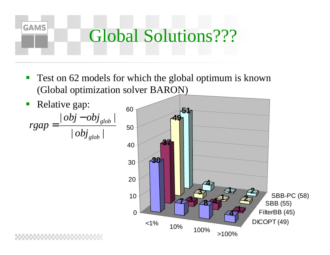

 Test on 62 models for which the global optimum is known (Global optimization solver BARON)